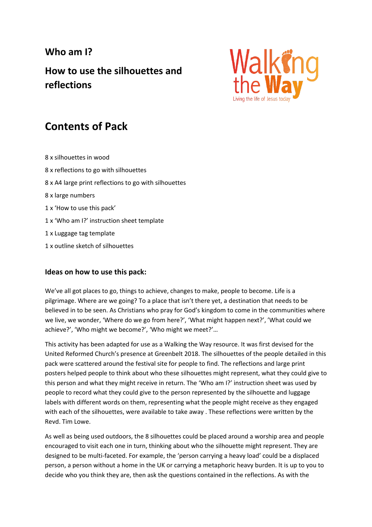**How to use the silhouettes and reflections**



### **Contents of Pack**

8 x silhouettes in wood 8 x reflections to go with silhouettes 8 x A4 large print reflections to go with silhouettes 8 x large numbers 1 x 'How to use this pack' 1 x 'Who am I?' instruction sheet template 1 x Luggage tag template 1 x outline sketch of silhouettes

#### **Ideas on how to use this pack:**

We've all got places to go, things to achieve, changes to make, people to become. Life is a pilgrimage. Where are we going? To a place that isn't there yet, a destination that needs to be believed in to be seen. As Christians who pray for God's kingdom to come in the communities where we live, we wonder, 'Where do we go from here?', 'What might happen next?', 'What could we achieve?', 'Who might we become?', 'Who might we meet?'…

This activity has been adapted for use as a Walking the Way resource. It was first devised for the United Reformed Church's presence at Greenbelt 2018. The silhouettes of the people detailed in this pack were scattered around the festival site for people to find. The reflections and large print posters helped people to think about who these silhouettes might represent, what they could give to this person and what they might receive in return. The 'Who am I?' instruction sheet was used by people to record what they could give to the person represented by the silhouette and luggage labels with different words on them, representing what the people might receive as they engaged with each of the silhouettes, were available to take away . These reflections were written by the Revd. Tim Lowe.

As well as being used outdoors, the 8 silhouettes could be placed around a worship area and people encouraged to visit each one in turn, thinking about who the silhouette might represent. They are designed to be multi-faceted. For example, the 'person carrying a heavy load' could be a displaced person, a person without a home in the UK or carrying a metaphoric heavy burden. It is up to you to decide who you think they are, then ask the questions contained in the reflections. As with the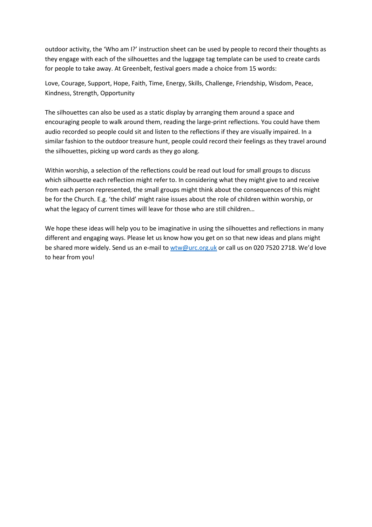outdoor activity, the 'Who am I?' instruction sheet can be used by people to record their thoughts as they engage with each of the silhouettes and the luggage tag template can be used to create cards for people to take away. At Greenbelt, festival goers made a choice from 15 words:

Love, Courage, Support, Hope, Faith, Time, Energy, Skills, Challenge, Friendship, Wisdom, Peace, Kindness, Strength, Opportunity

The silhouettes can also be used as a static display by arranging them around a space and encouraging people to walk around them, reading the large-print reflections. You could have them audio recorded so people could sit and listen to the reflections if they are visually impaired. In a similar fashion to the outdoor treasure hunt, people could record their feelings as they travel around the silhouettes, picking up word cards as they go along.

Within worship, a selection of the reflections could be read out loud for small groups to discuss which silhouette each reflection might refer to. In considering what they might give to and receive from each person represented, the small groups might think about the consequences of this might be for the Church. E.g. 'the child' might raise issues about the role of children within worship, or what the legacy of current times will leave for those who are still children…

We hope these ideas will help you to be imaginative in using the silhouettes and reflections in many different and engaging ways. Please let us know how you get on so that new ideas and plans might be shared more widely. Send us an e-mail t[o wtw@urc.org.uk](mailto:wtw@urc.org.uk) or call us on 020 7520 2718. We'd love to hear from you!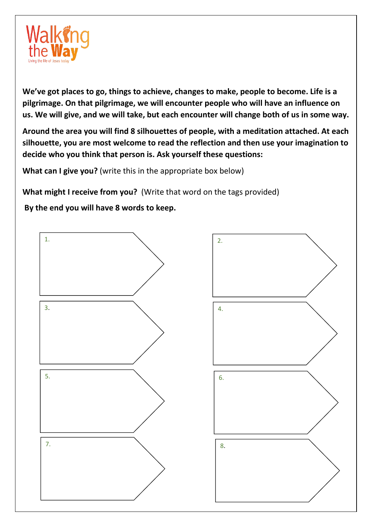

**We've got places to go, things to achieve, changes to make, people to become. Life is a pilgrimage. On that pilgrimage, we will encounter people who will have an influence on us. We will give, and we will take, but each encounter will change both of us in some way.** 

**Around the area you will find 8 silhouettes of people, with a meditation attached. At each silhouette, you are most welcome to read the reflection and then use your imagination to decide who you think that person is. Ask yourself these questions:** 

**What can I give you?** (write this in the appropriate box below)

**What might I receive from you?** (Write that word on the tags provided)

**By the end you will have 8 words to keep.**

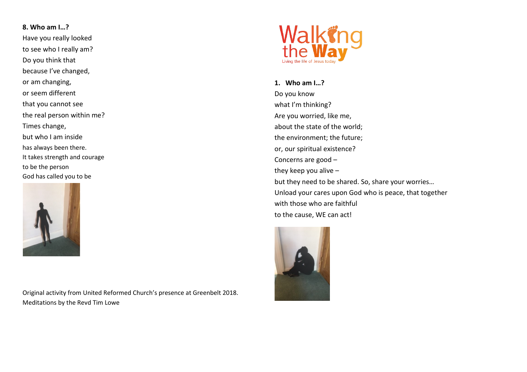Have you really looked to see who I really am? Do you think that because I've changed, or am changing, or seem different that you cannot see the real person within me? Times change, but who I am inside has always been there. It takes strength and courage to be the person God has called you to be



Original activity from United Reformed Church's presence at Greenbelt 2018. Meditations by the Revd Tim Lowe



**1. Who am I…?** Do you know what I'm thinking? Are you worried, like me, about the state of the world; the environment; the future; or, our spiritual existence? Concerns are good – they keep you alive – but they need to be shared. So, share your worries… Unload your cares upon God who is peace, that together with those who are faithful to the cause, WE can act!

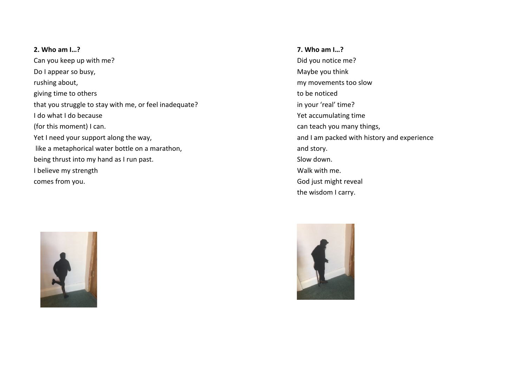Can you keep up with me? Do I appear so busy, rushing about, giving time to others that you struggle to stay with me, or feel inadequate? I do what I do because (for this moment) I can. Yet I need your support along the way, like a metaphorical water bottle on a marathon, being thrust into my hand as I run past. I believe my strength comes from you.

**7. Who am I…?** Did you notice me? Maybe you think my movements too slow to be noticed in your 'real' time? Yet accumulating time can teach you many things, and I am packed with history and experience and story. Slow down. Walk with me. God just might reveal the wisdom I carry.



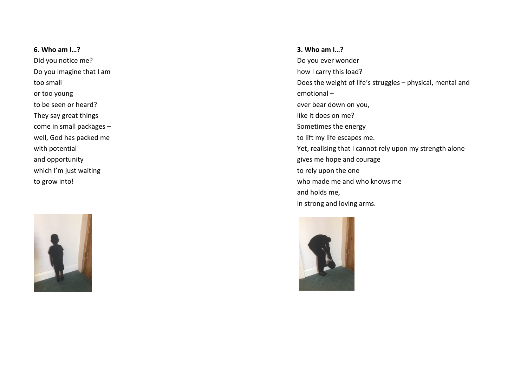Did you notice me? Do you imagine that I am too small or too young to be seen or heard? They say great things come in small packages – well, God has packed me with potential and opportunity which I'm just waiting to grow into!



#### **3. Who am I…?**

Do you ever wonder how I carry this load? Does the weight of life's struggles – physical, mental and emotional – ever bear down on you, like it does on me? Sometimes the energy to lift my life escapes me. Yet, realising that I cannot rely upon my strength alone gives me hope and courage to rely upon the one who made me and who knows me and holds me, in strong and loving arms.

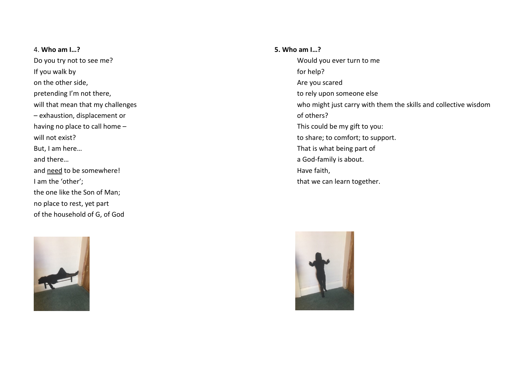Do you try not to see me? If you walk by on the other side, pretending I'm not there, will that mean that my challenges – exhaustion, displacement or having no place to call home – will not exist? But, I am here… and there… and need to be somewhere! I am the 'other'; the one like the Son of Man; no place to rest, yet part of the household of G, of God



#### **5. Who am I…?**

Would you ever turn to me for help? Are you scared to rely upon someone else who might just carry with them the skills and collective wisdom of others? This could be my gift to you: to share; to comfort; to support. That is what being part of a God-family is about. Have faith, that we can learn together.

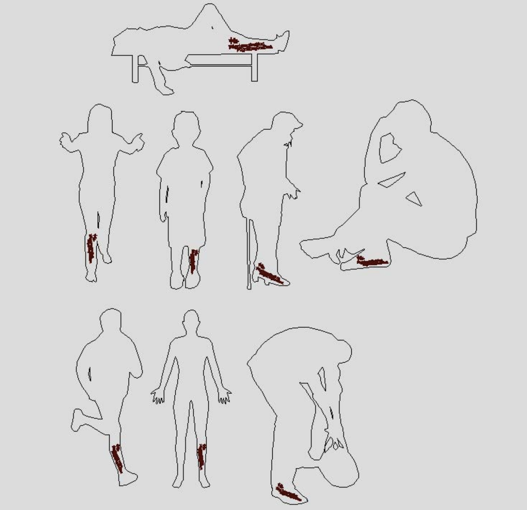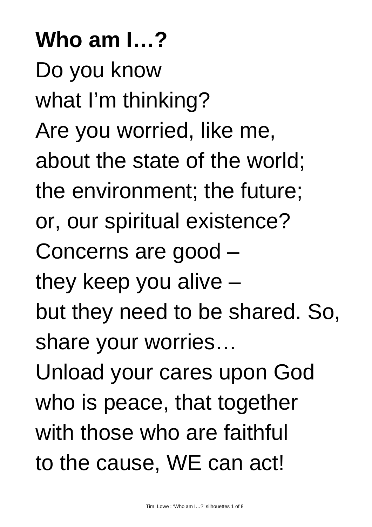**Who am I…?** Do you know what I'm thinking? Are you worried, like me, about the state of the world; the environment; the future; or, our spiritual existence? Concerns are good – they keep you alive – but they need to be shared. So, share your worries… Unload your cares upon God who is peace, that together with those who are faithful to the cause, WE can act!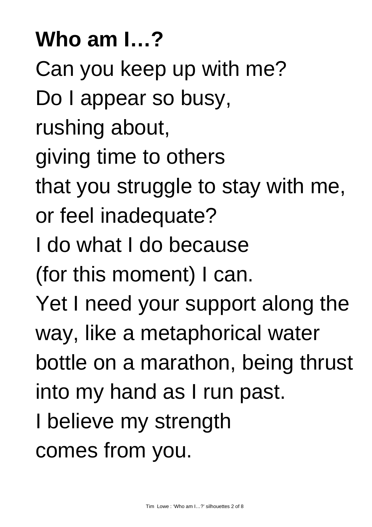Can you keep up with me? Do I appear so busy, rushing about, giving time to others that you struggle to stay with me, or feel inadequate? I do what I do because (for this moment) I can. Yet I need your support along the way, like a metaphorical water bottle on a marathon, being thrust into my hand as I run past. I believe my strength comes from you.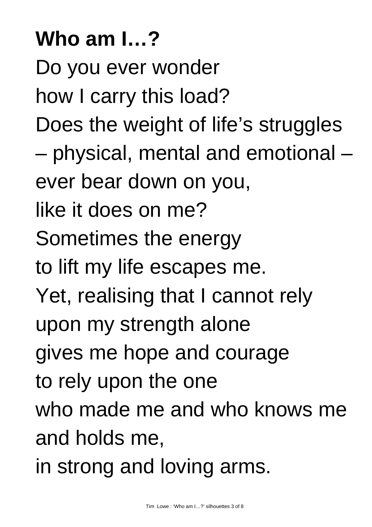Do you ever wonder how I carry this load? Does the weight of life's struggles – physical, mental and emotional – ever bear down on you, like it does on me? Sometimes the energy to lift my life escapes me. Yet, realising that I cannot rely upon my strength alone gives me hope and courage to rely upon the one who made me and who knows me and holds me, in strong and loving arms.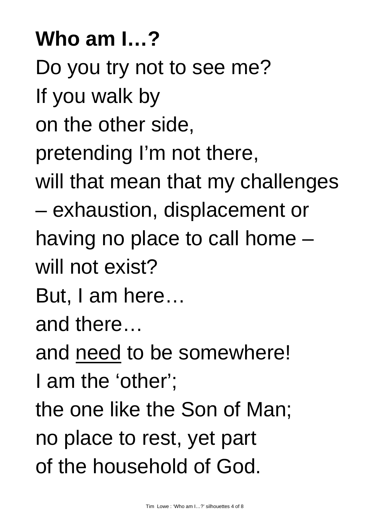Do you try not to see me?

If you walk by

on the other side,

pretending I'm not there,

will that mean that my challenges

– exhaustion, displacement or

having no place to call home –

will not exist?

But, I am here…

and there…

and need to be somewhere!

I am the 'other';

the one like the Son of Man;

no place to rest, yet part

of the household of God.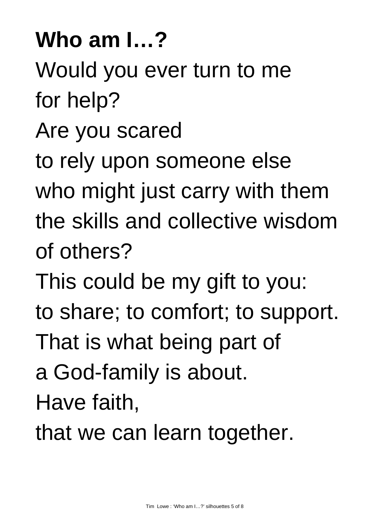Would you ever turn to me for help?

- Are you scared
- to rely upon someone else

who might just carry with them

- the skills and collective wisdom of others?
- This could be my gift to you:
- to share; to comfort; to support.
- That is what being part of
- a God-family is about.
- Have faith,
- that we can learn together.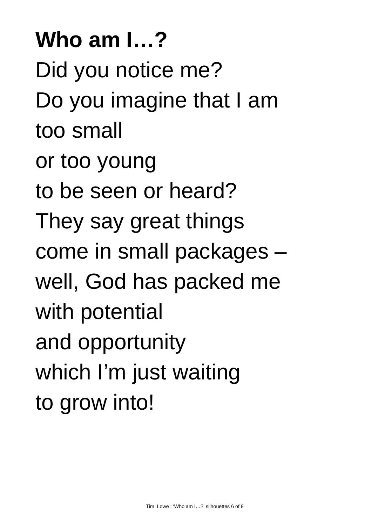# **Who am I…?** Did you notice me? Do you imagine that I am too small or too young to be seen or heard? They say great things come in small packages – well, God has packed me with potential and opportunity which I'm just waiting to grow into!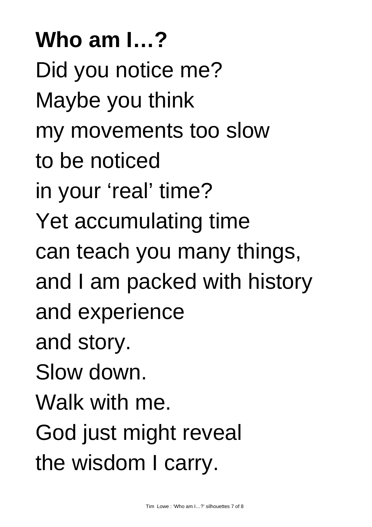**Who am I…?** Did you notice me? Maybe you think my movements too slow to be noticed in your 'real' time? Yet accumulating time can teach you many things, and I am packed with history and experience and story. Slow down. Walk with me. God just might reveal the wisdom I carry.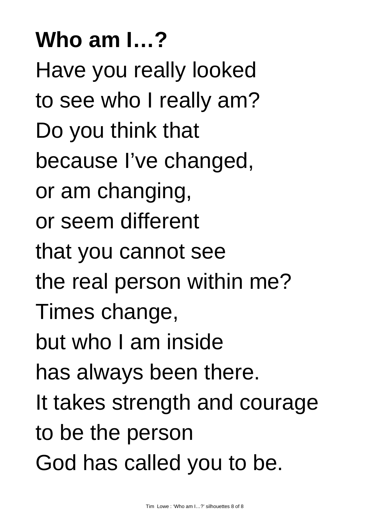Have you really looked to see who I really am? Do you think that because I've changed, or am changing, or seem different that you cannot see the real person within me? Times change, but who I am inside has always been there. It takes strength and courage to be the person God has called you to be.